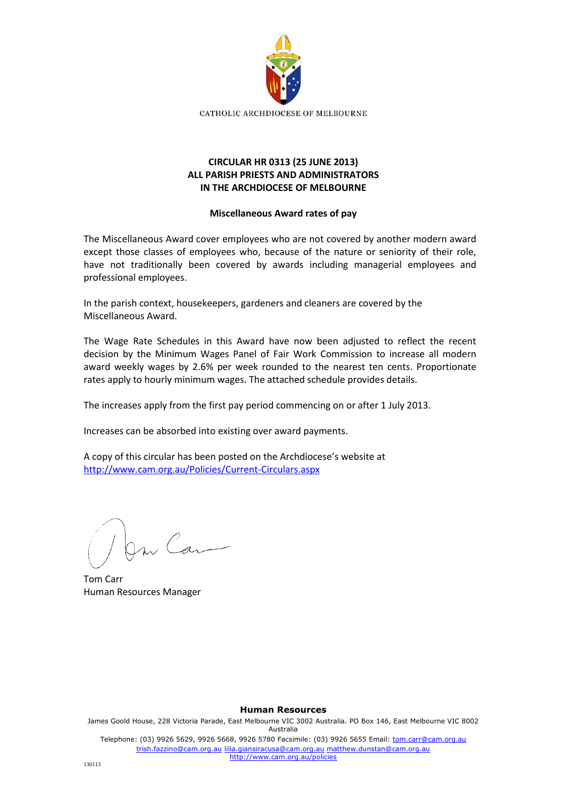

## **CIRCULAR HR 0313 (25 JUNE 2013) ALL PARISH PRIESTS AND ADMINISTRATORS IN THE ARCHDIOCESE OF MELBOURNE**

## **Miscellaneous Award rates of pay**

The Miscellaneous Award cover employees who are not covered by another modern award except those classes of employees who, because of the nature or seniority of their role, have not traditionally been covered by awards including managerial employees and professional employees.

In the parish context, housekeepers, gardeners and cleaners are covered by the Miscellaneous Award.

The Wage Rate Schedules in this Award have now been adjusted to reflect the recent decision by the Minimum Wages Panel of Fair Work Commission to increase all modern award weekly wages by 2.6% per week rounded to the nearest ten cents. Proportionate rates apply to hourly minimum wages. The attached schedule provides details.

The increases apply from the first pay period commencing on or after 1 July 2013.

Increases can be absorbed into existing over award payments.

A copy of this circular has been posted on the Archdiocese's website at <http://www.cam.org.au/Policies/Current-Circulars.aspx>

m Can

Tom Carr Human Resources Manager

**Human Resources** James Goold House, 228 Victoria Parade, East Melbourne VIC 3002 Australia. PO Box 146, East Melbourne VIC 8002 Australia Telephone: (03) 9926 5629, 9926 5668, 9926 5780 Facsimile: (03) 9926 5655 Email: tom.carr@cam.org.au trish.fazzino@cam.org.au lilia.giansiracusa@cam.org.au matthew.dunstan@cam.org.au http://www.cam.org.au/policies